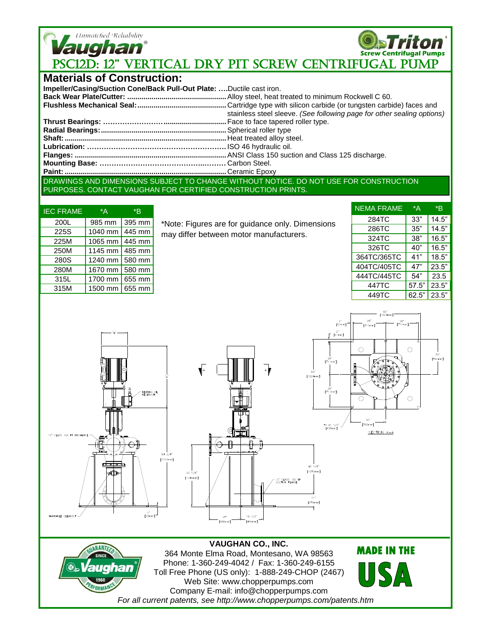

**Screw Centrifugal Pumps Vaughan**<br>PSC12D: 12" VERTICAL DRY PIT SCREW CENTRIFUGAL PUMP

## **Materials of Construction:**

| Impeller/Casing/Suction Cone/Back Pull-Out Plate: Ductile cast iron. |                                                                        |
|----------------------------------------------------------------------|------------------------------------------------------------------------|
|                                                                      |                                                                        |
|                                                                      |                                                                        |
|                                                                      | stainless steel sleeve. (See following page for other sealing options) |
|                                                                      |                                                                        |
|                                                                      |                                                                        |
|                                                                      |                                                                        |
|                                                                      |                                                                        |
|                                                                      |                                                                        |
|                                                                      |                                                                        |
|                                                                      |                                                                        |
|                                                                      |                                                                        |

DRAWINGS AND DIMENSIONS SUBJECT TO CHANGE WITHOUT NOTICE. DO NOT USE FOR CONSTRUCTION PURPOSES. CONTACT VAUGHAN FOR CERTIFIED CONSTRUCTION PRINTS.

| <b>IEC FRAME</b> | *A                      | *R |  |
|------------------|-------------------------|----|--|
| 200L             | 985 mm 395 mm           |    |  |
| 225S             | 1040 mm $\sqrt{445}$ mm |    |  |
| 225M             | 1065 mm   445 mm        |    |  |
| 250M             | 1145 mm $\sqrt{485}$ mm |    |  |
| 280S             | 1240 mm   580 mm        |    |  |
| 280M             | 1670 mm 580 mm          |    |  |
| 315L             | 1700 mm 655 mm          |    |  |
| 315M             | 1500 mm 655 mm          |    |  |
|                  |                         |    |  |

\*Note: Figures are for guidance only. Dimensions may differ between motor manufacturers.

|       | *R    |
|-------|-------|
| 33"   | 14.5" |
| 35"   | 14.5" |
| 38"   | 16.5" |
| 40"   | 16.5" |
| 41"   | 18.5" |
| 47"   | 23.5" |
| 54"   | 23.5  |
| 57.5" | 23.5" |
| 62.5" | 23.5" |
|       | *A    |











**VAUGHAN CO., INC.** 364 Monte Elma Road, Montesano, WA 98563 Phone: 1-360-249-4042 / Fax: 1-360-249-6155 Toll Free Phone (US only): 1-888-249-CHOP (2467) Web Site: www.chopperpumps.com Company E-mail: info@chopperpumps.com *For all current patents, see http://www.chopperpumps.com/patents.htm*